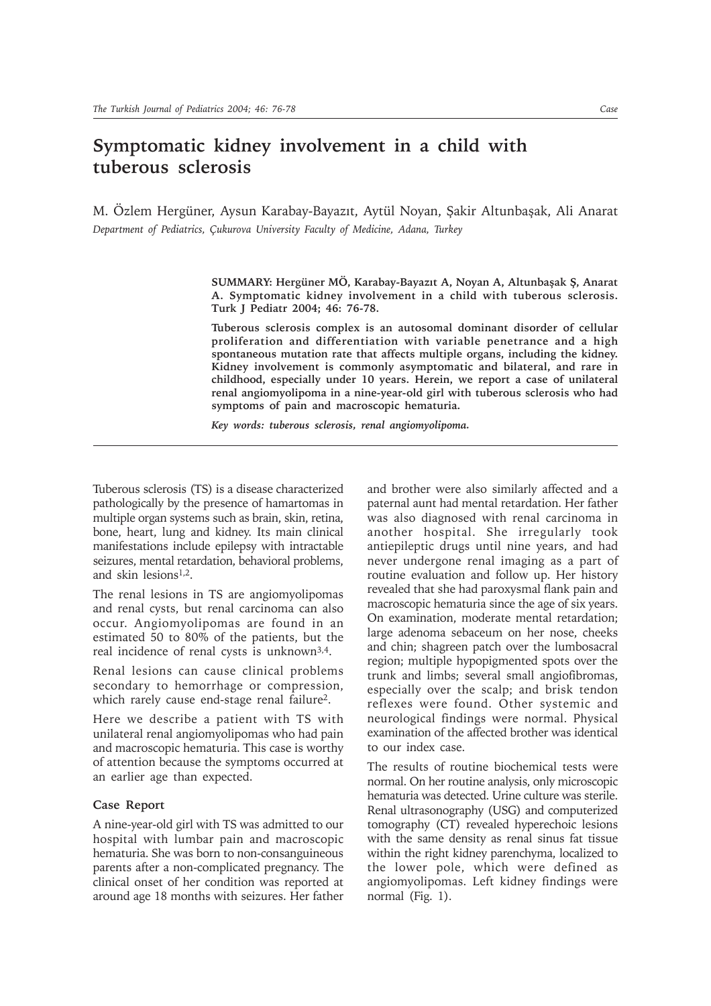## **Symptomatic kidney involvement in a child with tuberous sclerosis**

M. Özlem Hergüner, Aysun Karabay-Bayazıt, Aytül Noyan, Şakir Altunbaşak, Ali Anarat *Department of Pediatrics, Çukurova University Faculty of Medicine, Adana, Turkey*

> SUMMARY: Hergüner MÖ, Karabay-Bayazıt A, Noyan A, Altunbaşak Ş, Anarat **A. Symptomatic kidney involvement in a child with tuberous sclerosis. Turk J Pediatr 2004; 46: 76-78.**

> **Tuberous sclerosis complex is an autosomal dominant disorder of cellular proliferation and differentiation with variable penetrance and a high spontaneous mutation rate that affects multiple organs, including the kidney. Kidney involvement is commonly asymptomatic and bilateral, and rare in childhood, especially under 10 years. Herein, we report a case of unilateral renal angiomyolipoma in a nine-year-old girl with tuberous sclerosis who had symptoms of pain and macroscopic hematuria.**

*Key words: tuberous sclerosis, renal angiomyolipoma.*

Tuberous sclerosis (TS) is a disease characterized pathologically by the presence of hamartomas in multiple organ systems such as brain, skin, retina, bone, heart, lung and kidney. Its main clinical manifestations include epilepsy with intractable seizures, mental retardation, behavioral problems, and skin lesions1,2.

The renal lesions in TS are angiomyolipomas and renal cysts, but renal carcinoma can also occur. Angiomyolipomas are found in an estimated 50 to 80% of the patients, but the real incidence of renal cysts is unknown3,4.

Renal lesions can cause clinical problems secondary to hemorrhage or compression, which rarely cause end-stage renal failure<sup>2</sup>.

Here we describe a patient with TS with unilateral renal angiomyolipomas who had pain and macroscopic hematuria. This case is worthy of attention because the symptoms occurred at an earlier age than expected.

## **Case Report**

A nine-year-old girl with TS was admitted to our hospital with lumbar pain and macroscopic hematuria. She was born to non-consanguineous parents after a non-complicated pregnancy. The clinical onset of her condition was reported at around age 18 months with seizures. Her father and brother were also similarly affected and a paternal aunt had mental retardation. Her father was also diagnosed with renal carcinoma in another hospital. She irregularly took antiepileptic drugs until nine years, and had never undergone renal imaging as a part of routine evaluation and follow up. Her history revealed that she had paroxysmal flank pain and macroscopic hematuria since the age of six years. On examination, moderate mental retardation; large adenoma sebaceum on her nose, cheeks and chin; shagreen patch over the lumbosacral region; multiple hypopigmented spots over the trunk and limbs; several small angiofibromas, especially over the scalp; and brisk tendon reflexes were found. Other systemic and neurological findings were normal. Physical examination of the affected brother was identical to our index case.

The results of routine biochemical tests were normal. On her routine analysis, only microscopic hematuria was detected. Urine culture was sterile. Renal ultrasonography (USG) and computerized tomography (CT) revealed hyperechoic lesions with the same density as renal sinus fat tissue within the right kidney parenchyma, localized to the lower pole, which were defined as angiomyolipomas. Left kidney findings were normal (Fig. 1).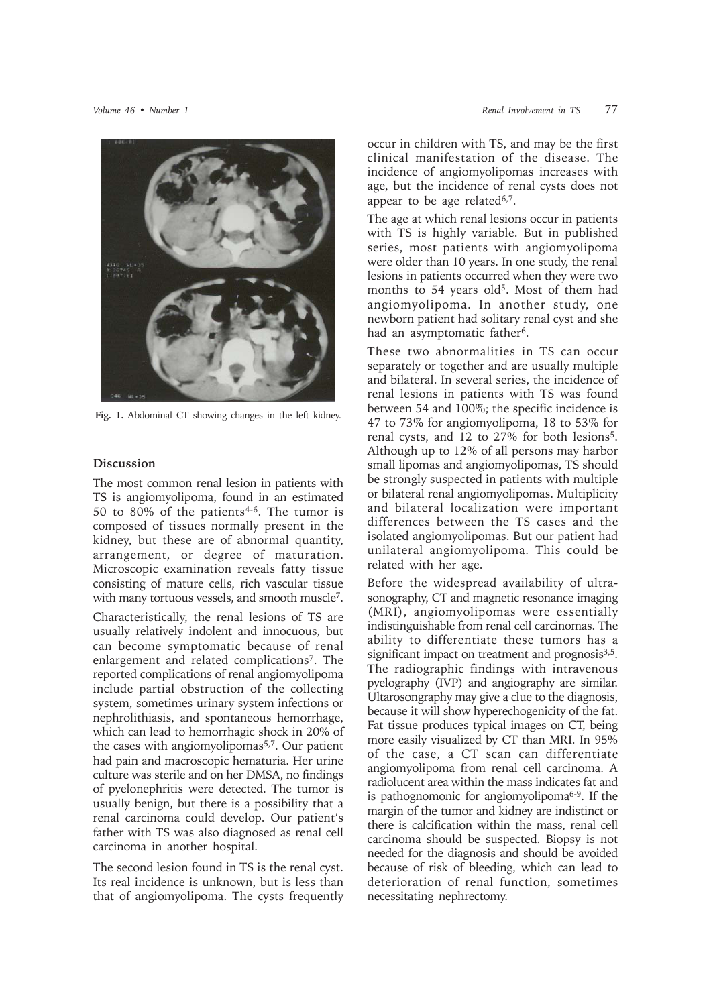

**Fig. 1.** Abdominal CT showing changes in the left kidney.

## **Discussion**

The most common renal lesion in patients with TS is angiomyolipoma, found in an estimated 50 to 80% of the patients<sup>4-6</sup>. The tumor is composed of tissues normally present in the kidney, but these are of abnormal quantity, arrangement, or degree of maturation. Microscopic examination reveals fatty tissue consisting of mature cells, rich vascular tissue with many tortuous vessels, and smooth muscle<sup>7</sup>.

Characteristically, the renal lesions of TS are usually relatively indolent and innocuous, but can become symptomatic because of renal enlargement and related complications<sup>7</sup>. The reported complications of renal angiomyolipoma include partial obstruction of the collecting system, sometimes urinary system infections or nephrolithiasis, and spontaneous hemorrhage, which can lead to hemorrhagic shock in 20% of the cases with angiomyolipomas<sup>5,7</sup>. Our patient had pain and macroscopic hematuria. Her urine culture was sterile and on her DMSA, no findings of pyelonephritis were detected. The tumor is usually benign, but there is a possibility that a renal carcinoma could develop. Our patient's father with TS was also diagnosed as renal cell carcinoma in another hospital.

The second lesion found in TS is the renal cyst. Its real incidence is unknown, but is less than that of angiomyolipoma. The cysts frequently

occur in children with TS, and may be the first clinical manifestation of the disease. The incidence of angiomyolipomas increases with age, but the incidence of renal cysts does not appear to be age related $6,7$ .

The age at which renal lesions occur in patients with TS is highly variable. But in published series, most patients with angiomyolipoma were older than 10 years. In one study, the renal lesions in patients occurred when they were two months to 54 years old<sup>5</sup>. Most of them had angiomyolipoma. In another study, one newborn patient had solitary renal cyst and she had an asymptomatic father<sup>6</sup>.

These two abnormalities in TS can occur separately or together and are usually multiple and bilateral. In several series, the incidence of renal lesions in patients with TS was found between 54 and 100%; the specific incidence is 47 to 73% for angiomyolipoma, 18 to 53% for renal cysts, and 12 to 27% for both lesions5. Although up to 12% of all persons may harbor small lipomas and angiomyolipomas, TS should be strongly suspected in patients with multiple or bilateral renal angiomyolipomas. Multiplicity and bilateral localization were important differences between the TS cases and the isolated angiomyolipomas. But our patient had unilateral angiomyolipoma. This could be related with her age.

Before the widespread availability of ultrasonography, CT and magnetic resonance imaging (MRI), angiomyolipomas were essentially indistinguishable from renal cell carcinomas. The ability to differentiate these tumors has a significant impact on treatment and prognosis<sup>3,5</sup>. The radiographic findings with intravenous pyelography (IVP) and angiography are similar. Ultarosongraphy may give a clue to the diagnosis, because it will show hyperechogenicity of the fat. Fat tissue produces typical images on CT, being more easily visualized by CT than MRI. In 95% of the case, a CT scan can differentiate angiomyolipoma from renal cell carcinoma. A radiolucent area within the mass indicates fat and is pathognomonic for angiomyolipoma6-9. If the margin of the tumor and kidney are indistinct or there is calcification within the mass, renal cell carcinoma should be suspected. Biopsy is not needed for the diagnosis and should be avoided because of risk of bleeding, which can lead to deterioration of renal function, sometimes necessitating nephrectomy.